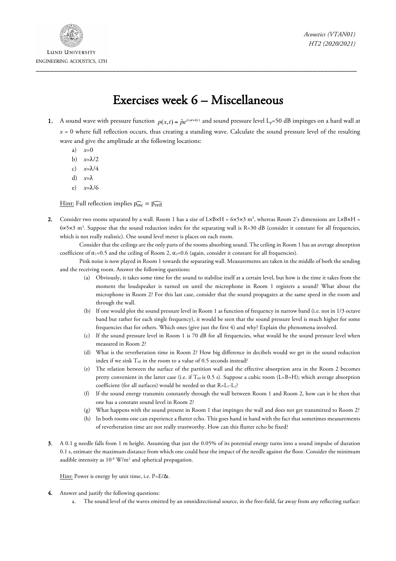

## Exercises week 6 – Miscellaneous

- 1. A sound wave with pressure function  $p(x; t) = \hat{p}e^{i(\alpha t + kx)}$  and sound pressure level L<sub>p</sub>=50 dB impinges on a hard wall at *x* = 0 where full reflection occurs, thus creating a standing wave. Calculate the sound pressure level of the resulting wave and give the amplitude at the following locations:
	- a) *x*=0
	- b) *x*=λ/2
	- c) *x*=λ/4
	- d) *x*=λ
	- e) *x*=λ/6

Hint: Full reflection implies  $\widehat{p_{inc}} = \widehat{p_{refl}}$ 

2. Consider two rooms separated by a wall. Room 1 has a size of L×B×H = 6×5×3 m<sup>3</sup>, whereas Room 2's dimensions are L×B×H = 6×5×3 m3 . Suppose that the sound reduction index for the separating wall is R=30 dB (consider it constant for all frequencies, which is not really realistic). One sound level meter is places on each room.

Consider that the ceilings are the only parts of the rooms absorbing sound. The ceiling in Room 1 has an average absorption coefficient of  $\alpha_1=0.5$  and the ceiling of Room 2,  $\alpha_2=0.6$  (again, consider it constant for all frequencies).

Pink noise is now played in Room 1 towards the separating wall. Measurements are taken in the middle of both the sending and the receiving room. Answer the following questions:

- (a) Obviously, it takes some time for the sound to stabilise itself at a certain level, but how is the time it takes from the moment the loudspeaker is turned on until the microphone in Room 1 registers a sound? What about the microphone in Room 2? For this last case, consider that the sound propagates at the same speed in the room and through the wall.
- (b) If one would plot the sound pressure level in Room 1 as function of frequency in narrow band (i.e. not in 1/3 octave band but rather for each single frequency), it would be seen that the sound pressure level is much higher for some frequencies that for others. Which ones (give just the first 4) and why? Explain the phenomena involved.
- (c) If the sound pressure level in Room 1 is 70 dB for all frequencies, what would be the sound pressure level when measured in Room 2?
- (d) What is the reverberation time in Room 2? How big difference in decibels would we get in the sound reduction index if we sink  $T_{60}$  in the room to a value of 0.5 seconds instead?
- (e) The relation between the surface of the partition wall and the effective absorption area in the Room 2 becomes pretty convenient in the latter case (i.e. if  $T_{60}$  is 0.5 s). Suppose a cubic room (L=B=H); which average absorption coefficient (for all surfaces) would be needed so that R=L1-L2?
- (f) If the sound energy transmits constantly through the wall between Room 1 and Room 2, how can it be then that one has a constant sound level in Room 2?
- (g) What happens with the sound present in Room 1 that impinges the wall and does not get transmitted to Room 2?
- (h) In both rooms one can experience a flutter echo. This goes hand in hand with the fact that sometimes measurements of reverberation time are not really trustworthy. How can this flutter echo be fixed?
- 3. A 0.1 g needle falls from 1 m height. Assuming that just the 0.05% of its potential energy turns into a sound impulse of duration 0.1 s, estimate the maximum distance from which one could hear the impact of the needle against the floor. Consider the minimum audible intensity as  $10^{-8}$  W/m<sup>2</sup> and spherical propagation.

Hint: Power is energy by unit time, i.e. P=E/Δt.

- 4. Answer and justify the following questions:
	- a. The sound level of the waves emitted by an omnidirectional source, in the free-field, far away from any reflecting surface: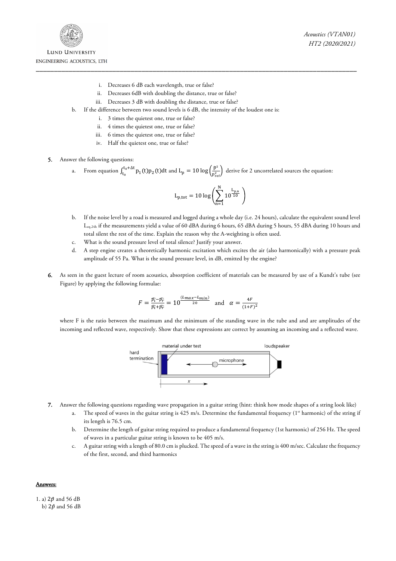

- i. Decreases 6 dB each wavelength, true or false?
- ii. Decreases 6dB with doubling the distance, true or false?
- iii. Decreases 3 dB with doubling the distance, true or false?
- b. If the difference between two sound levels is 6 dB, the intensity of the loudest one is:
	- i. 3 times the quietest one, true or false?
	- ii. 4 times the quietest one, true or false?
	- iii. 6 times the quietest one, true or false?
	- iv. Half the quietest one, true or false?
- 5. Answer the following questions:
	- a. From equation  $\int_{t_0}^{t_0+\Delta t} p_1(t) p_2(t) dt$  and  $L_p = 10 \log \left( \frac{\tilde{p}^2}{p_{ref}^2} \right)$  derive for 2 uncorrelated sources the equation:

$$
L_{p,tot} = 10 \log \Biggl( \sum_{n=1}^N 10^{\frac{L_{p,n}}{10}} \ \Biggr)
$$

- b. If the noise level by a road is measured and logged during a whole day (i.e. 24 hours), calculate the equivalent sound level Leq,24h if the measurements yield a value of 60 dBA during 6 hours, 65 dBA during 5 hours, 55 dBA during 10 hours and total silent the rest of the time. Explain the reason why the A-weighting is often used.
- c. What is the sound pressure level of total silence? Justify your answer.
- d. A step engine creates a theoretically harmonic excitation which excites the air (also harmonically) with a pressure peak amplitude of 55 Pa. What is the sound pressure level, in dB, emitted by the engine?
- 6. As seen in the guest lecture of room acoustics, absorption coefficient of materials can be measured by use of a Kundt's tube (see Figure) by applying the following formulae:

$$
F = \frac{\widehat{p_i} - \widehat{p_r}}{\widehat{p_i} + \widehat{p_r}} = 10^{\frac{(L_{max} - L_{min})}{20}} \text{ and } \alpha = \frac{4F}{(1 + F)^2}
$$

where F is the ratio between the mazimum and the minimum of the standing wave in the tube and and are amplitudes of the incoming and reflected wave, respectively. Show that these expressions are correct by assuming an incoming and a reflected wave.



- 7. Answer the following questions regarding wave propagation in a guitar string (hint: think how mode shapes of a string look like)
	- a. The speed of waves in the guitar string is  $425$  m/s. Determine the fundamental frequency ( $1<sup>st</sup>$  harmonic) of the string if its length is 76.5 cm.
	- b. Determine the length of guitar string required to produce a fundamental frequency (1st harmonic) of 256 Hz. The speed of waves in a particular guitar string is known to be 405 m/s.
	- c. A guitar string with a length of 80.0 cm is plucked. The speed of a wave in the string is 400 m/sec. Calculate the frequency of the first, second, and third harmonics

## Answers:

1. a)  $2\hat{p}$  and 56 dB b)  $2\hat{p}$  and 56 dB